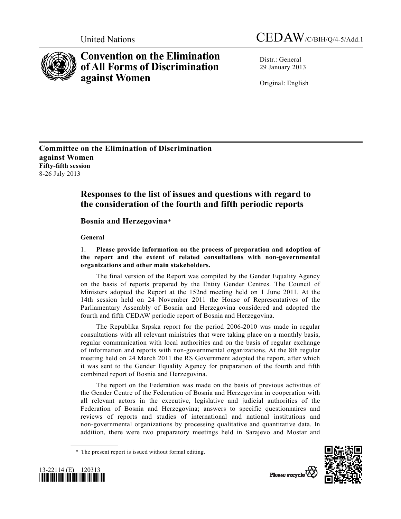



# **Convention on the Elimination of All Forms of Discrimination against Women**

Distr · General 29 January 2013

Original: English

**Committee on the Elimination of Discrimination against Women Fifty-fifth session**  8-26 July 2013

## **Responses to the list of issues and questions with regard to the consideration of the fourth and fifth periodic reports**

## **Bosnia and Herzegovina***\**

 **General** 

## 1. **Please provide information on the process of preparation and adoption of the report and the extent of related consultations with non-governmental organizations and other main stakeholders.**

 The final version of the Report was compiled by the Gender Equality Agency on the basis of reports prepared by the Entity Gender Centres. The Council of Ministers adopted the Report at the 152nd meeting held on 1 June 2011. At the 14th session held on 24 November 2011 the House of Representatives of the Parliamentary Assembly of Bosnia and Herzegovina considered and adopted the fourth and fifth CEDAW periodic report of Bosnia and Herzegovina.

 The Republika Srpska report for the period 2006-2010 was made in regular consultations with all relevant ministries that were taking place on a monthly basis, regular communication with local authorities and on the basis of regular exchange of information and reports with non-governmental organizations. At the 8th regular meeting held on 24 March 2011 the RS Government adopted the report, after which it was sent to the Gender Equality Agency for preparation of the fourth and fifth combined report of Bosnia and Herzegovina.

 The report on the Federation was made on the basis of previous activities of the Gender Centre of the Federation of Bosnia and Herzegovina in cooperation with all relevant actors in the executive, legislative and judicial authorities of the Federation of Bosnia and Herzegovina; answers to specific questionnaires and reviews of reports and studies of international and national institutions and non-governmental organizations by processing qualitative and quantitative data. In addition, there were two preparatory meetings held in Sarajevo and Mostar and





 <sup>\*</sup> The present report is issued without formal editing.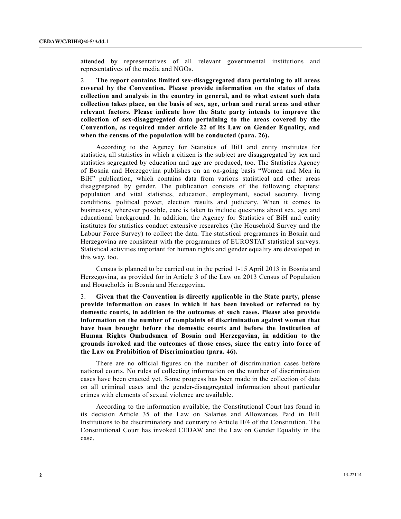attended by representatives of all relevant governmental institutions and representatives of the media and NGOs.

2. **The report contains limited sex-disaggregated data pertaining to all areas covered by the Convention. Please provide information on the status of data collection and analysis in the country in general, and to what extent such data collection takes place, on the basis of sex, age, urban and rural areas and other relevant factors. Please indicate how the State party intends to improve the collection of sex-disaggregated data pertaining to the areas covered by the Convention, as required under article 22 of its Law on Gender Equality, and when the census of the population will be conducted (para. 26).** 

 According to the Agency for Statistics of BiH and entity institutes for statistics, all statistics in which a citizen is the subject are disaggregated by sex and statistics segregated by education and age are produced, too. The Statistics Agency of Bosnia and Herzegovina publishes on an on-going basis "Women and Men in BiH" publication, which contains data from various statistical and other areas disaggregated by gender. The publication consists of the following chapters: population and vital statistics, education, employment, social security, living conditions, political power, election results and judiciary. When it comes to businesses, wherever possible, care is taken to include questions about sex, age and educational background. In addition, the Agency for Statistics of BiH and entity institutes for statistics conduct extensive researches (the Household Survey and the Labour Force Survey) to collect the data. The statistical programmes in Bosnia and Herzegovina are consistent with the programmes of EUROSTAT statistical surveys. Statistical activities important for human rights and gender equality are developed in this way, too.

 Census is planned to be carried out in the period 1-15 April 2013 in Bosnia and Herzegovina, as provided for in Article 3 of the Law on 2013 Census of Population and Households in Bosnia and Herzegovina.

3. **Given that the Convention is directly applicable in the State party, please provide information on cases in which it has been invoked or referred to by domestic courts, in addition to the outcomes of such cases. Please also provide information on the number of complaints of discrimination against women that have been brought before the domestic courts and before the Institution of Human Rights Ombudsmen of Bosnia and Herzegovina, in addition to the grounds invoked and the outcomes of those cases, since the entry into force of the Law on Prohibition of Discrimination (para. 46).**

 There are no official figures on the number of discrimination cases before national courts. No rules of collecting information on the number of discrimination cases have been enacted yet. Some progress has been made in the collection of data on all criminal cases and the gender-disaggregated information about particular crimes with elements of sexual violence are available.

 According to the information available, the Constitutional Court has found in its decision Article 35 of the Law on Salaries and Allowances Paid in BiH Institutions to be discriminatory and contrary to Article II/4 of the Constitution. The Constitutional Court has invoked CEDAW and the Law on Gender Equality in the case.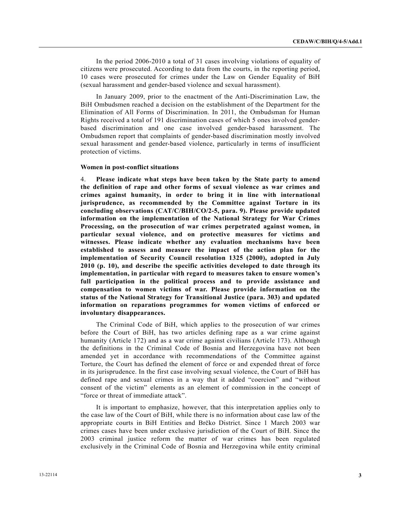In the period 2006-2010 a total of 31 cases involving violations of equality of citizens were prosecuted. According to data from the courts, in the reporting period, 10 cases were prosecuted for crimes under the Law on Gender Equality of BiH (sexual harassment and gender-based violence and sexual harassment).

 In January 2009, prior to the enactment of the Anti-Discrimination Law, the BiH Ombudsmen reached a decision on the establishment of the Department for the Elimination of All Forms of Discrimination. In 2011, the Ombudsman for Human Rights received a total of 191 discrimination cases of which 5 ones involved genderbased discrimination and one case involved gender-based harassment. The Ombudsmen report that complaints of gender-based discrimination mostly involved sexual harassment and gender-based violence, particularly in terms of insufficient protection of victims.

#### **Women in post-conflict situations**

4. **Please indicate what steps have been taken by the State party to amend the definition of rape and other forms of sexual violence as war crimes and crimes against humanity, in order to bring it in line with international jurisprudence, as recommended by the Committee against Torture in its concluding observations (CAT/C/BIH/CO/2-5, para. 9). Please provide updated information on the implementation of the National Strategy for War Crimes Processing, on the prosecution of war crimes perpetrated against women, in particular sexual violence, and on protective measures for victims and witnesses. Please indicate whether any evaluation mechanisms have been established to assess and measure the impact of the action plan for the implementation of Security Council resolution 1325 (2000), adopted in July 2010 (p. 10), and describe the specific activities developed to date through its implementation, in particular with regard to measures taken to ensure women's full participation in the political process and to provide assistance and compensation to women victims of war. Please provide information on the status of the National Strategy for Transitional Justice (para. 303) and updated information on reparations programmes for women victims of enforced or involuntary disappearances.**

 The Criminal Code of BiH, which applies to the prosecution of war crimes before the Court of BiH, has two articles defining rape as a war crime against humanity (Article 172) and as a war crime against civilians (Article 173). Although the definitions in the Criminal Code of Bosnia and Herzegovina have not been amended yet in accordance with recommendations of the Committee against Torture, the Court has defined the element of force or and expended threat of force in its jurisprudence. In the first case involving sexual violence, the Court of BiH has defined rape and sexual crimes in a way that it added "coercion" and "without consent of the victim" elements as an element of commission in the concept of "force or threat of immediate attack".

 It is important to emphasize, however, that this interpretation applies only to the case law of the Court of BiH, while there is no information about case law of the appropriate courts in BiH Entities and Brčko District. Since 1 March 2003 war crimes cases have been under exclusive jurisdiction of the Court of BiH. Since the 2003 criminal justice reform the matter of war crimes has been regulated exclusively in the Criminal Code of Bosnia and Herzegovina while entity criminal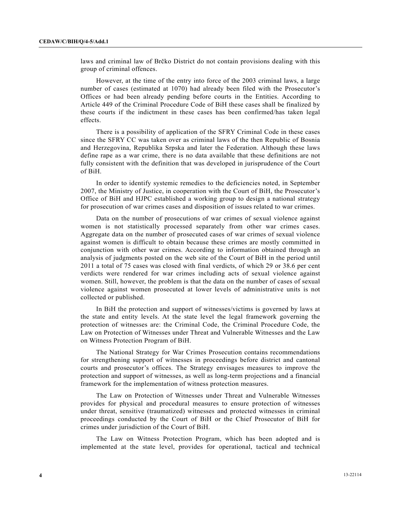laws and criminal law of Brčko District do not contain provisions dealing with this group of criminal offences.

 However, at the time of the entry into force of the 2003 criminal laws, a large number of cases (estimated at 1070) had already been filed with the Prosecutor's Offices or had been already pending before courts in the Entities. According to Article 449 of the Criminal Procedure Code of BiH these cases shall be finalized by these courts if the indictment in these cases has been confirmed/has taken legal effects.

 There is a possibility of application of the SFRY Criminal Code in these cases since the SFRY CC was taken over as criminal laws of the then Republic of Bosnia and Herzegovina, Republika Srpska and later the Federation. Although these laws define rape as a war crime, there is no data available that these definitions are not fully consistent with the definition that was developed in jurisprudence of the Court of BiH.

 In order to identify systemic remedies to the deficiencies noted, in September 2007, the Ministry of Justice, in cooperation with the Court of BiH, the Prosecutor's Office of BiH and HJPC established a working group to design a national strategy for prosecution of war crimes cases and disposition of issues related to war crimes.

 Data on the number of prosecutions of war crimes of sexual violence against women is not statistically processed separately from other war crimes cases. Aggregate data on the number of prosecuted cases of war crimes of sexual violence against women is difficult to obtain because these crimes are mostly committed in conjunction with other war crimes. According to information obtained through an analysis of judgments posted on the web site of the Court of BiH in the period until 2011 a total of 75 cases was closed with final verdicts, of which 29 or 38.6 per cent verdicts were rendered for war crimes including acts of sexual violence against women. Still, however, the problem is that the data on the number of cases of sexual violence against women prosecuted at lower levels of administrative units is not collected or published.

 In BiH the protection and support of witnesses/victims is governed by laws at the state and entity levels. At the state level the legal framework governing the protection of witnesses are: the Criminal Code, the Criminal Procedure Code, the Law on Protection of Witnesses under Threat and Vulnerable Witnesses and the Law on Witness Protection Program of BiH.

 The National Strategy for War Crimes Prosecution contains recommendations for strengthening support of witnesses in proceedings before district and cantonal courts and prosecutor's offices. The Strategy envisages measures to improve the protection and support of witnesses, as well as long-term projections and a financial framework for the implementation of witness protection measures.

 The Law on Protection of Witnesses under Threat and Vulnerable Witnesses provides for physical and procedural measures to ensure protection of witnesses under threat, sensitive (traumatized) witnesses and protected witnesses in criminal proceedings conducted by the Court of BiH or the Chief Prosecutor of BiH for crimes under jurisdiction of the Court of BiH.

 The Law on Witness Protection Program, which has been adopted and is implemented at the state level, provides for operational, tactical and technical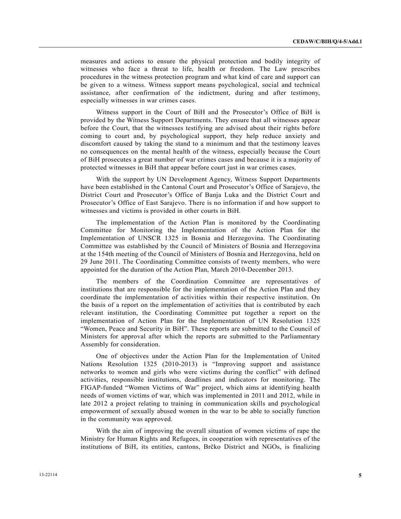measures and actions to ensure the physical protection and bodily integrity of witnesses who face a threat to life, health or freedom. The Law prescribes procedures in the witness protection program and what kind of care and support can be given to a witness. Witness support means psychological, social and technical assistance, after confirmation of the indictment, during and after testimony, especially witnesses in war crimes cases.

 Witness support in the Court of BiH and the Prosecutor's Office of BiH is provided by the Witness Support Departments. They ensure that all witnesses appear before the Court, that the witnesses testifying are advised about their rights before coming to court and, by psychological support, they help reduce anxiety and discomfort caused by taking the stand to a minimum and that the testimony leaves no consequences on the mental health of the witness, especially because the Court of BiH prosecutes a great number of war crimes cases and because it is a majority of protected witnesses in BiH that appear before court just in war crimes cases.

 With the support by UN Development Agency, Witness Support Departments have been established in the Cantonal Court and Prosecutor's Office of Sarajevo, the District Court and Prosecutor's Office of Banja Luka and the District Court and Prosecutor's Office of East Sarajevo. There is no information if and how support to witnesses and victims is provided in other courts in BiH.

 The implementation of the Action Plan is monitored by the Coordinating Committee for Monitoring the Implementation of the Action Plan for the Implementation of UNSCR 1325 in Bosnia and Herzegovina. The Coordinating Committee was established by the Council of Ministers of Bosnia and Herzegovina at the 154th meeting of the Council of Ministers of Bosnia and Herzegovina, held on 29 June 2011. The Coordinating Committee consists of twenty members, who were appointed for the duration of the Action Plan, March 2010-December 2013.

 The members of the Coordination Committee are representatives of institutions that are responsible for the implementation of the Action Plan and they coordinate the implementation of activities within their respective institution. On the basis of a report on the implementation of activities that is contributed by each relevant institution, the Coordinating Committee put together a report on the implementation of Action Plan for the Implementation of UN Resolution 1325 "Women, Peace and Security in BiH". These reports are submitted to the Council of Ministers for approval after which the reports are submitted to the Parliamentary Assembly for consideration.

 One of objectives under the Action Plan for the Implementation of United Nations Resolution 1325 (2010-2013) is "Improving support and assistance networks to women and girls who were victims during the conflict" with defined activities, responsible institutions, deadlines and indicators for monitoring. The FIGAP-funded "Women Victims of War" project, which aims at identifying health needs of women victims of war, which was implemented in 2011 and 2012, while in late 2012 a project relating to training in communication skills and psychological empowerment of sexually abused women in the war to be able to socially function in the community was approved.

 With the aim of improving the overall situation of women victims of rape the Ministry for Human Rights and Refugees, in cooperation with representatives of the institutions of BiH, its entities, cantons, Brčko District and NGOs, is finalizing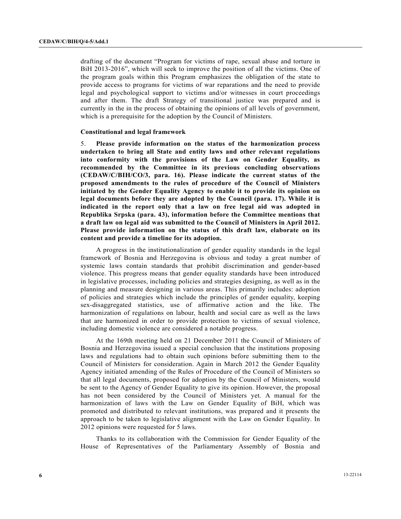drafting of the document "Program for victims of rape, sexual abuse and torture in BiH 2013-2016", which will seek to improve the position of all the victims. One of the program goals within this Program emphasizes the obligation of the state to provide access to programs for victims of war reparations and the need to provide legal and psychological support to victims and/or witnesses in court proceedings and after them. The draft Strategy of transitional justice was prepared and is currently in the in the process of obtaining the opinions of all levels of government, which is a prerequisite for the adoption by the Council of Ministers.

#### **Constitutional and legal framework**

5. **Please provide information on the status of the harmonization process undertaken to bring all State and entity laws and other relevant regulations into conformity with the provisions of the Law on Gender Equality, as recommended by the Committee in its previous concluding observations (CEDAW/C/BIH/CO/3, para. 16). Please indicate the current status of the proposed amendments to the rules of procedure of the Council of Ministers initiated by the Gender Equality Agency to enable it to provide its opinion on legal documents before they are adopted by the Council (para. 17). While it is indicated in the report only that a law on free legal aid was adopted in Republika Srpska (para. 43), information before the Committee mentions that a draft law on legal aid was submitted to the Council of Ministers in April 2012. Please provide information on the status of this draft law, elaborate on its content and provide a timeline for its adoption.**

 A progress in the institutionalization of gender equality standards in the legal framework of Bosnia and Herzegovina is obvious and today a great number of systemic laws contain standards that prohibit discrimination and gender-based violence. This progress means that gender equality standards have been introduced in legislative processes, including policies and strategies designing, as well as in the planning and measure designing in various areas. This primarily includes: adoption of policies and strategies which include the principles of gender equality, keeping sex-disaggregated statistics, use of affirmative action and the like. The harmonization of regulations on labour, health and social care as well as the laws that are harmonized in order to provide protection to victims of sexual violence, including domestic violence are considered a notable progress.

 At the 169th meeting held on 21 December 2011 the Council of Ministers of Bosnia and Herzegovina issued a special conclusion that the institutions proposing laws and regulations had to obtain such opinions before submitting them to the Council of Ministers for consideration. Again in March 2012 the Gender Equality Agency initiated amending of the Rules of Procedure of the Council of Ministers so that all legal documents, proposed for adoption by the Council of Ministers, would be sent to the Agency of Gender Equality to give its opinion. However, the proposal has not been considered by the Council of Ministers yet. A manual for the harmonization of laws with the Law on Gender Equality of BiH, which was promoted and distributed to relevant institutions, was prepared and it presents the approach to be taken to legislative alignment with the Law on Gender Equality. In 2012 opinions were requested for 5 laws.

 Thanks to its collaboration with the Commission for Gender Equality of the House of Representatives of the Parliamentary Assembly of Bosnia and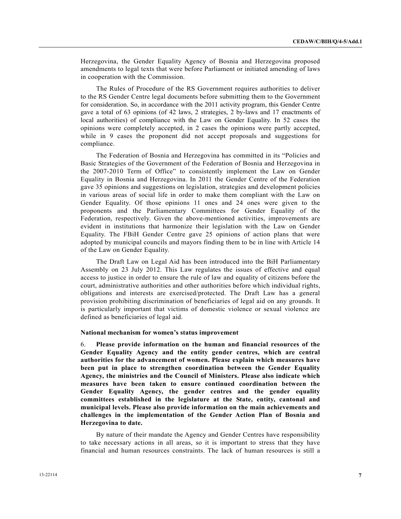Herzegovina, the Gender Equality Agency of Bosnia and Herzegovina proposed amendments to legal texts that were before Parliament or initiated amending of laws in cooperation with the Commission.

 The Rules of Procedure of the RS Government requires authorities to deliver to the RS Gender Centre legal documents before submitting them to the Government for consideration. So, in accordance with the 2011 activity program, this Gender Centre gave a total of 63 opinions (of 42 laws, 2 strategies, 2 by-laws and 17 enactments of local authorities) of compliance with the Law on Gender Equality. In 52 cases the opinions were completely accepted, in 2 cases the opinions were partly accepted, while in 9 cases the proponent did not accept proposals and suggestions for compliance.

 The Federation of Bosnia and Herzegovina has committed in its "Policies and Basic Strategies of the Government of the Federation of Bosnia and Herzegovina in the 2007-2010 Term of Office" to consistently implement the Law on Gender Equality in Bosnia and Herzegovina. In 2011 the Gender Centre of the Federation gave 35 opinions and suggestions on legislation, strategies and development policies in various areas of social life in order to make them compliant with the Law on Gender Equality. Of those opinions 11 ones and 24 ones were given to the proponents and the Parliamentary Committees for Gender Equality of the Federation, respectively. Given the above-mentioned activities, improvements are evident in institutions that harmonize their legislation with the Law on Gender Equality. The FBiH Gender Centre gave 25 opinions of action plans that were adopted by municipal councils and mayors finding them to be in line with Article 14 of the Law on Gender Equality.

 The Draft Law on Legal Aid has been introduced into the BiH Parliamentary Assembly on 23 July 2012. This Law regulates the issues of effective and equal access to justice in order to ensure the rule of law and equality of citizens before the court, administrative authorities and other authorities before which individual rights, obligations and interests are exercised/protected. The Draft Law has a general provision prohibiting discrimination of beneficiaries of legal aid on any grounds. It is particularly important that victims of domestic violence or sexual violence are defined as beneficiaries of legal aid.

#### **National mechanism for women's status improvement**

6. **Please provide information on the human and financial resources of the Gender Equality Agency and the entity gender centres, which are central authorities for the advancement of women. Please explain which measures have been put in place to strengthen coordination between the Gender Equality Agency, the ministries and the Council of Ministers. Please also indicate which measures have been taken to ensure continued coordination between the Gender Equality Agency, the gender centres and the gender equality committees established in the legislature at the State, entity, cantonal and municipal levels. Please also provide information on the main achievements and challenges in the implementation of the Gender Action Plan of Bosnia and Herzegovina to date.**

 By nature of their mandate the Agency and Gender Centres have responsibility to take necessary actions in all areas, so it is important to stress that they have financial and human resources constraints. The lack of human resources is still a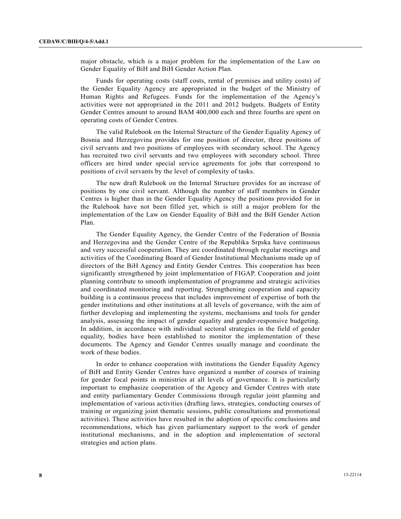major obstacle, which is a major problem for the implementation of the Law on Gender Equality of BiH and BiH Gender Action Plan.

 Funds for operating costs (staff costs, rental of premises and utility costs) of the Gender Equality Agency are appropriated in the budget of the Ministry of Human Rights and Refugees. Funds for the implementation of the Agency's activities were not appropriated in the 2011 and 2012 budgets. Budgets of Entity Gender Centres amount to around BAM 400,000 each and three fourths are spent on operating costs of Gender Centres.

 The valid Rulebook on the Internal Structure of the Gender Equality Agency of Bosnia and Herzegovina provides for one position of director, three positions of civil servants and two positions of employees with secondary school. The Agency has recruited two civil servants and two employees with secondary school. Three officers are hired under special service agreements for jobs that correspond to positions of civil servants by the level of complexity of tasks.

 The new draft Rulebook on the Internal Structure provides for an increase of positions by one civil servant. Although the number of staff members in Gender Centres is higher than in the Gender Equality Agency the positions provided for in the Rulebook have not been filled yet, which is still a major problem for the implementation of the Law on Gender Equality of BiH and the BiH Gender Action Plan.

 The Gender Equality Agency, the Gender Centre of the Federation of Bosnia and Herzegovina and the Gender Centre of the Republika Srpska have continuous and very successful cooperation. They are coordinated through regular meetings and activities of the Coordinating Board of Gender Institutional Mechanisms made up of directors of the BiH Agency and Entity Gender Centres. This cooperation has been significantly strengthened by joint implementation of FIGAP. Cooperation and joint planning contribute to smooth implementation of programme and strategic activities and coordinated monitoring and reporting. Strengthening cooperation and capacity building is a continuous process that includes improvement of expertise of both the gender institutions and other institutions at all levels of governance, with the aim of further developing and implementing the systems, mechanisms and tools for gender analysis, assessing the impact of gender equality and gender-responsive budgeting. In addition, in accordance with individual sectoral strategies in the field of gender equality, bodies have been established to monitor the implementation of these documents. The Agency and Gender Centres usually manage and coordinate the work of these bodies.

 In order to enhance cooperation with institutions the Gender Equality Agency of BiH and Entity Gender Centres have organized a number of courses of training for gender focal points in ministries at all levels of governance. It is particularly important to emphasize cooperation of the Agency and Gender Centres with state and entity parliamentary Gender Commissions through regular joint planning and implementation of various activities (drafting laws, strategies, conducting courses of training or organizing joint thematic sessions, public consultations and promotional activities). These activities have resulted in the adoption of specific conclusions and recommendations, which has given parliamentary support to the work of gender institutional mechanisms, and in the adoption and implementation of sectoral strategies and action plans.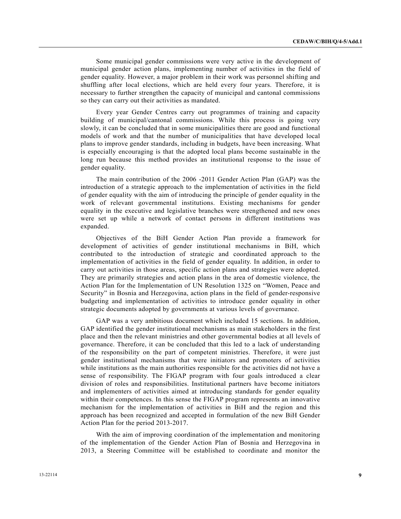Some municipal gender commissions were very active in the development of municipal gender action plans, implementing number of activities in the field of gender equality. However, a major problem in their work was personnel shifting and shuffling after local elections, which are held every four years. Therefore, it is necessary to further strengthen the capacity of municipal and cantonal commissions so they can carry out their activities as mandated.

 Every year Gender Centres carry out programmes of training and capacity building of municipal/cantonal commissions. While this process is going very slowly, it can be concluded that in some municipalities there are good and functional models of work and that the number of municipalities that have developed local plans to improve gender standards, including in budgets, have been increasing. What is especially encouraging is that the adopted local plans become sustainable in the long run because this method provides an institutional response to the issue of gender equality.

 The main contribution of the 2006 -2011 Gender Action Plan (GAP) was the introduction of a strategic approach to the implementation of activities in the field of gender equality with the aim of introducing the principle of gender equality in the work of relevant governmental institutions. Existing mechanisms for gender equality in the executive and legislative branches were strengthened and new ones were set up while a network of contact persons in different institutions was expanded.

 Objectives of the BiH Gender Action Plan provide a framework for development of activities of gender institutional mechanisms in BiH, which contributed to the introduction of strategic and coordinated approach to the implementation of activities in the field of gender equality. In addition, in order to carry out activities in those areas, specific action plans and strategies were adopted. They are primarily strategies and action plans in the area of domestic violence, the Action Plan for the Implementation of UN Resolution 1325 on "Women, Peace and Security" in Bosnia and Herzegovina, action plans in the field of gender-responsive budgeting and implementation of activities to introduce gender equality in other strategic documents adopted by governments at various levels of governance.

 GAP was a very ambitious document which included 15 sections. In addition, GAP identified the gender institutional mechanisms as main stakeholders in the first place and then the relevant ministries and other governmental bodies at all levels of governance. Therefore, it can be concluded that this led to a lack of understanding of the responsibility on the part of competent ministries. Therefore, it were just gender institutional mechanisms that were initiators and promoters of activities while institutions as the main authorities responsible for the activities did not have a sense of responsibility. The FIGAP program with four goals introduced a clear division of roles and responsibilities. Institutional partners have become initiators and implementers of activities aimed at introducing standards for gender equality within their competences. In this sense the FIGAP program represents an innovative mechanism for the implementation of activities in BiH and the region and this approach has been recognized and accepted in formulation of the new BiH Gender Action Plan for the period 2013-2017.

 With the aim of improving coordination of the implementation and monitoring of the implementation of the Gender Action Plan of Bosnia and Herzegovina in 2013, a Steering Committee will be established to coordinate and monitor the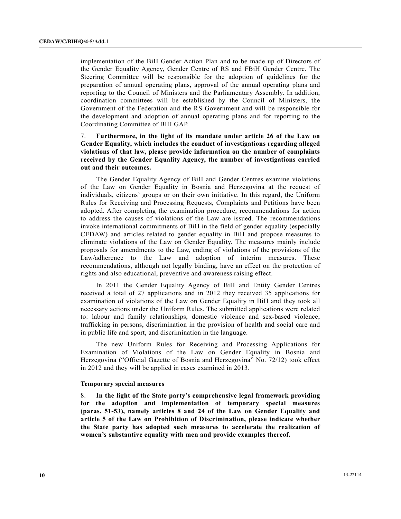implementation of the BiH Gender Action Plan and to be made up of Directors of the Gender Equality Agency, Gender Centre of RS and FBiH Gender Centre. The Steering Committee will be responsible for the adoption of guidelines for the preparation of annual operating plans, approval of the annual operating plans and reporting to the Council of Ministers and the Parliamentary Assembly. In addition, coordination committees will be established by the Council of Ministers, the Government of the Federation and the RS Government and will be responsible for the development and adoption of annual operating plans and for reporting to the Coordinating Committee of BIH GAP.

7. **Furthermore, in the light of its mandate under article 26 of the Law on Gender Equality, which includes the conduct of investigations regarding alleged violations of that law, please provide information on the number of complaints received by the Gender Equality Agency, the number of investigations carried out and their outcomes.** 

 The Gender Equality Agency of BiH and Gender Centres examine violations of the Law on Gender Equality in Bosnia and Herzegovina at the request of individuals, citizens' groups or on their own initiative. In this regard, the Uniform Rules for Receiving and Processing Requests, Complaints and Petitions have been adopted. After completing the examination procedure, recommendations for action to address the causes of violations of the Law are issued. The recommendations invoke international commitments of BiH in the field of gender equality (especially CEDAW) and articles related to gender equality in BiH and propose measures to eliminate violations of the Law on Gender Equality. The measures mainly include proposals for amendments to the Law, ending of violations of the provisions of the Law/adherence to the Law and adoption of interim measures. These recommendations, although not legally binding, have an effect on the protection of rights and also educational, preventive and awareness raising effect.

 In 2011 the Gender Equality Agency of BiH and Entity Gender Centres received a total of 27 applications and in 2012 they received 35 applications for examination of violations of the Law on Gender Equality in BiH and they took all necessary actions under the Uniform Rules. The submitted applications were related to: labour and family relationships, domestic violence and sex-based violence, trafficking in persons, discrimination in the provision of health and social care and in public life and sport, and discrimination in the language.

 The new Uniform Rules for Receiving and Processing Applications for Examination of Violations of the Law on Gender Equality in Bosnia and Herzegovina ("Official Gazette of Bosnia and Herzegovina" No. 72/12) took effect in 2012 and they will be applied in cases examined in 2013.

#### **Temporary special measures**

8. **In the light of the State party's comprehensive legal framework providing for the adoption and implementation of temporary special measures (paras. 51-53), namely articles 8 and 24 of the Law on Gender Equality and article 5 of the Law on Prohibition of Discrimination, please indicate whether the State party has adopted such measures to accelerate the realization of women's substantive equality with men and provide examples thereof.**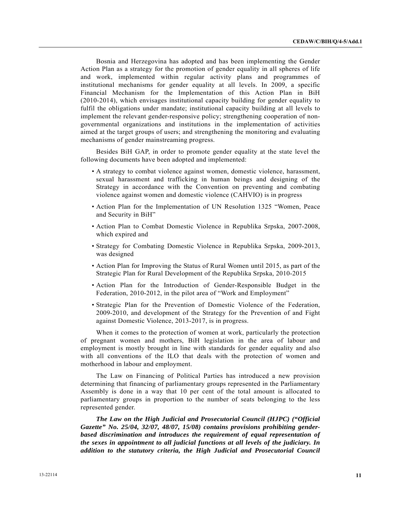Bosnia and Herzegovina has adopted and has been implementing the Gender Action Plan as a strategy for the promotion of gender equality in all spheres of life and work, implemented within regular activity plans and programmes of institutional mechanisms for gender equality at all levels. In 2009, a specific Financial Mechanism for the Implementation of this Action Plan in BiH (2010-2014), which envisages institutional capacity building for gender equality to fulfil the obligations under mandate; institutional capacity building at all levels to implement the relevant gender-responsive policy; strengthening cooperation of nongovernmental organizations and institutions in the implementation of activities aimed at the target groups of users; and strengthening the monitoring and evaluating mechanisms of gender mainstreaming progress.

 Besides BiH GAP, in order to promote gender equality at the state level the following documents have been adopted and implemented:

- A strategy to combat violence against women, domestic violence, harassment, sexual harassment and trafficking in human beings and designing of the Strategy in accordance with the Convention on preventing and combating violence against women and domestic violence (CAHVIO) is in progress
- Action Plan for the Implementation of UN Resolution 1325 "Women, Peace and Security in BiH"
- Action Plan to Combat Domestic Violence in Republika Srpska, 2007-2008, which expired and
- Strategy for Combating Domestic Violence in Republika Srpska, 2009-2013, was designed
- Action Plan for Improving the Status of Rural Women until 2015, as part of the Strategic Plan for Rural Development of the Republika Srpska, 2010-2015
- Action Plan for the Introduction of Gender-Responsible Budget in the Federation, 2010-2012, in the pilot area of "Work and Employment"
- Strategic Plan for the Prevention of Domestic Violence of the Federation, 2009-2010, and development of the Strategy for the Prevention of and Fight against Domestic Violence, 2013-2017, is in progress.

 When it comes to the protection of women at work, particularly the protection of pregnant women and mothers, BiH legislation in the area of labour and employment is mostly brought in line with standards for gender equality and also with all conventions of the ILO that deals with the protection of women and motherhood in labour and employment.

 The Law on Financing of Political Parties has introduced a new provision determining that financing of parliamentary groups represented in the Parliamentary Assembly is done in a way that 10 per cent of the total amount is allocated to parliamentary groups in proportion to the number of seats belonging to the less represented gender.

*The Law on the High Judicial and Prosecutorial Council (HJPC) ("Official Gazette" No. 25/04, 32/07, 48/07, 15/08) contains provisions prohibiting genderbased discrimination and introduces the requirement of equal representation of the sexes in appointment to all judicial functions at all levels of the judiciary. In addition to the statutory criteria, the High Judicial and Prosecutorial Council*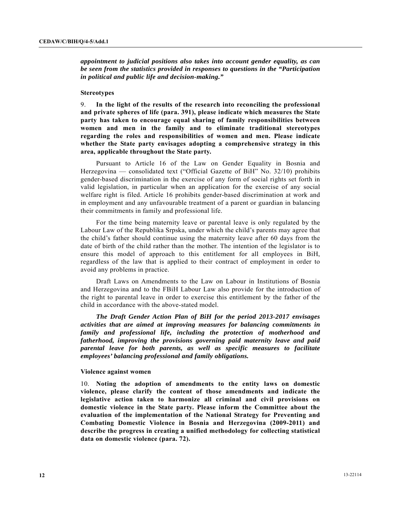*appointment to judicial positions also takes into account gender equality, as can be seen from the statistics provided in responses to questions in the "Participation in political and public life and decision-making."* 

#### **Stereotypes**

9. **In the light of the results of the research into reconciling the professional and private spheres of life (para. 391), please indicate which measures the State party has taken to encourage equal sharing of family responsibilities between women and men in the family and to eliminate traditional stereotypes regarding the roles and responsibilities of women and men. Please indicate whether the State party envisages adopting a comprehensive strategy in this area, applicable throughout the State party.**

 Pursuant to Article 16 of the Law on Gender Equality in Bosnia and Herzegovina — consolidated text ("Official Gazette of BiH" No. 32/10) prohibits gender-based discrimination in the exercise of any form of social rights set forth in valid legislation, in particular when an application for the exercise of any social welfare right is filed. Article 16 prohibits gender-based discrimination at work and in employment and any unfavourable treatment of a parent or guardian in balancing their commitments in family and professional life.

 For the time being maternity leave or parental leave is only regulated by the Labour Law of the Republika Srpska, under which the child's parents may agree that the child's father should continue using the maternity leave after 60 days from the date of birth of the child rather than the mother. The intention of the legislator is to ensure this model of approach to this entitlement for all employees in BiH, regardless of the law that is applied to their contract of employment in order to avoid any problems in practice.

 Draft Laws on Amendments to the Law on Labour in Institutions of Bosnia and Herzegovina and to the FBiH Labour Law also provide for the introduction of the right to parental leave in order to exercise this entitlement by the father of the child in accordance with the above-stated model.

*The Draft Gender Action Plan of BiH for the period 2013-2017 envisages activities that are aimed at improving measures for balancing commitments in family and professional life, including the protection of motherhood and fatherhood, improving the provisions governing paid maternity leave and paid parental leave for both parents, as well as specific measures to facilitate employees' balancing professional and family obligations.* 

#### **Violence against women**

10. **Noting the adoption of amendments to the entity laws on domestic violence, please clarify the content of those amendments and indicate the legislative action taken to harmonize all criminal and civil provisions on domestic violence in the State party. Please inform the Committee about the evaluation of the implementation of the National Strategy for Preventing and Combating Domestic Violence in Bosnia and Herzegovina (2009-2011) and describe the progress in creating a unified methodology for collecting statistical data on domestic violence (para. 72).**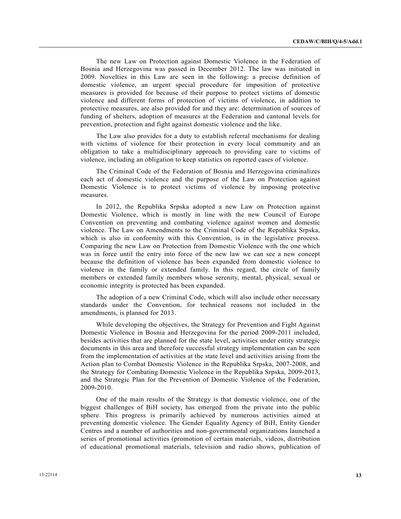The new Law on Protection against Domestic Violence in the Federation of Bosnia and Herzegovina was passed in December 2012. The law was initiated in 2009. Novelties in this Law are seen in the following: a precise definition of domestic violence, an urgent special procedure for imposition of protective measures is provided for because of their purpose to protect victims of domestic violence and different forms of protection of victims of violence, in addition to protective measures, are also provided for and they are: determination of sources of funding of shelters, adoption of measures at the Federation and cantonal levels for prevention, protection and fight against domestic violence and the like.

 The Law also provides for a duty to establish referral mechanisms for dealing with victims of violence for their protection in every local community and an obligation to take a multidisciplinary approach to providing care to victims of violence, including an obligation to keep statistics on reported cases of violence.

 The Criminal Code of the Federation of Bosnia and Herzegovina criminalizes each act of domestic violence and the purpose of the Law on Protection against Domestic Violence is to protect victims of violence by imposing protective measures.

 In 2012, the Republika Srpska adopted a new Law on Protection against Domestic Violence, which is mostly in line with the new Council of Europe Convention on preventing and combating violence against women and domestic violence. The Law on Amendments to the Criminal Code of the Republika Srpska, which is also in conformity with this Convention, is in the legislative process. Comparing the new Law on Protection from Domestic Violence with the one which was in force until the entry into force of the new law we can see a new concept because the definition of violence has been expanded from domestic violence to violence in the family or extended family. In this regard, the circle of family members or extended family members whose serenity, mental, physical, sexual or economic integrity is protected has been expanded.

 The adoption of a new Criminal Code, which will also include other necessary standards under the Convention, for technical reasons not included in the amendments, is planned for 2013.

 While developing the objectives, the Strategy for Prevention and Fight Against Domestic Violence in Bosnia and Herzegovina for the period 2009-2011 included, besides activities that are planned for the state level, activities under entity strategic documents in this area and therefore successful strategy implementation can be seen from the implementation of activities at the state level and activities arising from the Action plan to Combat Domestic Violence in the Republika Srpska, 2007-2008, and the Strategy for Combating Domestic Violence in the Republika Srpska, 2009-2013, and the Strategic Plan for the Prevention of Domestic Violence of the Federation, 2009-2010.

 One of the main results of the Strategy is that domestic violence, one of the biggest challenges of BiH society, has emerged from the private into the public sphere. This progress is primarily achieved by numerous activities aimed at preventing domestic violence. The Gender Equality Agency of BiH, Entity Gender Centres and a number of authorities and non-governmental organizations launched a series of promotional activities (promotion of certain materials, videos, distribution of educational promotional materials, television and radio shows, publication of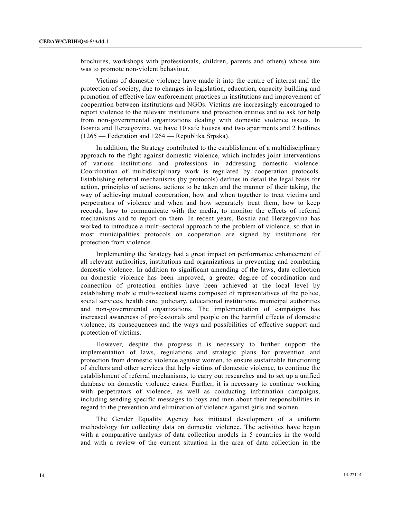brochures, workshops with professionals, children, parents and others) whose aim was to promote non-violent behaviour.

 Victims of domestic violence have made it into the centre of interest and the protection of society, due to changes in legislation, education, capacity building and promotion of effective law enforcement practices in institutions and improvement of cooperation between institutions and NGOs. Victims are increasingly encouraged to report violence to the relevant institutions and protection entities and to ask for help from non-governmental organizations dealing with domestic violence issues. In Bosnia and Herzegovina, we have 10 safe houses and two apartments and 2 hotlines (1265 — Federation and 1264 — Republika Srpska).

 In addition, the Strategy contributed to the establishment of a multidisciplinary approach to the fight against domestic violence, which includes joint interventions of various institutions and professions in addressing domestic violence. Coordination of multidisciplinary work is regulated by cooperation protocols. Establishing referral mechanisms (by protocols) defines in detail the legal basis for action, principles of actions, actions to be taken and the manner of their taking, the way of achieving mutual cooperation, how and when together to treat victims and perpetrators of violence and when and how separately treat them, how to keep records, how to communicate with the media, to monitor the effects of referral mechanisms and to report on them. In recent years, Bosnia and Herzegovina has worked to introduce a multi-sectoral approach to the problem of violence, so that in most municipalities protocols on cooperation are signed by institutions for protection from violence.

 Implementing the Strategy had a great impact on performance enhancement of all relevant authorities, institutions and organizations in preventing and combating domestic violence. In addition to significant amending of the laws, data collection on domestic violence has been improved, a greater degree of coordination and connection of protection entities have been achieved at the local level by establishing mobile multi-sectoral teams composed of representatives of the police, social services, health care, judiciary, educational institutions, municipal authorities and non-governmental organizations. The implementation of campaigns has increased awareness of professionals and people on the harmful effects of domestic violence, its consequences and the ways and possibilities of effective support and protection of victims.

 However, despite the progress it is necessary to further support the implementation of laws, regulations and strategic plans for prevention and protection from domestic violence against women, to ensure sustainable functioning of shelters and other services that help victims of domestic violence, to continue the establishment of referral mechanisms, to carry out researches and to set up a unified database on domestic violence cases. Further, it is necessary to continue working with perpetrators of violence, as well as conducting information campaigns, including sending specific messages to boys and men about their responsibilities in regard to the prevention and elimination of violence against girls and women.

 The Gender Equality Agency has initiated development of a uniform methodology for collecting data on domestic violence. The activities have begun with a comparative analysis of data collection models in 5 countries in the world and with a review of the current situation in the area of data collection in the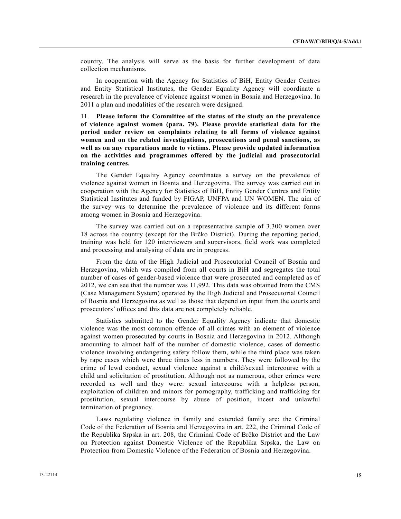country. The analysis will serve as the basis for further development of data collection mechanisms.

 In cooperation with the Agency for Statistics of BiH, Entity Gender Centres and Entity Statistical Institutes, the Gender Equality Agency will coordinate a research in the prevalence of violence against women in Bosnia and Herzegovina. In 2011 a plan and modalities of the research were designed.

11. **Please inform the Committee of the status of the study on the prevalence of violence against women (para. 79). Please provide statistical data for the period under review on complaints relating to all forms of violence against women and on the related investigations, prosecutions and penal sanctions, as well as on any reparations made to victims. Please provide updated information on the activities and programmes offered by the judicial and prosecutorial training centres.**

 The Gender Equality Agency coordinates a survey on the prevalence of violence against women in Bosnia and Herzegovina. The survey was carried out in cooperation with the Agency for Statistics of BiH, Entity Gender Centres and Entity Statistical Institutes and funded by FIGAP, UNFPA and UN WOMEN. The aim of the survey was to determine the prevalence of violence and its different forms among women in Bosnia and Herzegovina.

 The survey was carried out on a representative sample of 3.300 women over 18 across the country (except for the Brčko District). During the reporting period, training was held for 120 interviewers and supervisors, field work was completed and processing and analysing of data are in progress.

 From the data of the High Judicial and Prosecutorial Council of Bosnia and Herzegovina, which was compiled from all courts in BiH and segregates the total number of cases of gender-based violence that were prosecuted and completed as of 2012, we can see that the number was 11,992. This data was obtained from the CMS (Case Management System) operated by the High Judicial and Prosecutorial Council of Bosnia and Herzegovina as well as those that depend on input from the courts and prosecutors' offices and this data are not completely reliable.

 Statistics submitted to the Gender Equality Agency indicate that domestic violence was the most common offence of all crimes with an element of violence against women prosecuted by courts in Bosnia and Herzegovina in 2012. Although amounting to almost half of the number of domestic violence, cases of domestic violence involving endangering safety follow them, while the third place was taken by rape cases which were three times less in numbers. They were followed by the crime of lewd conduct, sexual violence against a child/sexual intercourse with a child and solicitation of prostitution. Although not as numerous, other crimes were recorded as well and they were: sexual intercourse with a helpless person, exploitation of children and minors for pornography, trafficking and trafficking for prostitution, sexual intercourse by abuse of position, incest and unlawful termination of pregnancy.

 Laws regulating violence in family and extended family are: the Criminal Code of the Federation of Bosnia and Herzegovina in art. 222, the Criminal Code of the Republika Srpska in art. 208, the Criminal Code of Brčko District and the Law on Protection against Domestic Violence of the Republika Srpska, the Law on Protection from Domestic Violence of the Federation of Bosnia and Herzegovina.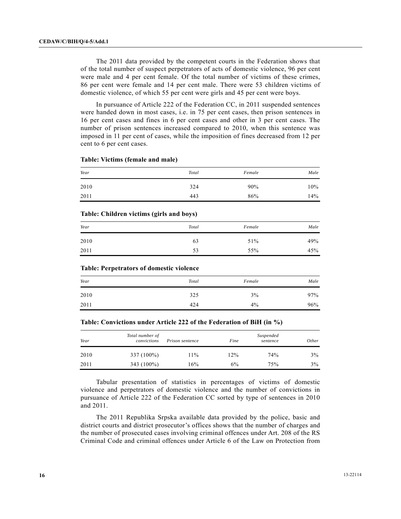The 2011 data provided by the competent courts in the Federation shows that of the total number of suspect perpetrators of acts of domestic violence, 96 per cent were male and 4 per cent female. Of the total number of victims of these crimes, 86 per cent were female and 14 per cent male. There were 53 children victims of domestic violence, of which 55 per cent were girls and 45 per cent were boys.

 In pursuance of Article 222 of the Federation CC, in 2011 suspended sentences were handed down in most cases, i.e. in 75 per cent cases, then prison sentences in 16 per cent cases and fines in 6 per cent cases and other in 3 per cent cases. The number of prison sentences increased compared to 2010, when this sentence was imposed in 11 per cent of cases, while the imposition of fines decreased from 12 per cent to 6 per cent cases.

| Year | Total | Female | Male |
|------|-------|--------|------|
| 2010 | 324   | 90%    | 10%  |
| 2011 | 443   | 86%    | 14%  |

#### **Table: Victims (female and male)**

#### **Table: Children victims (girls and boys)**

| Year | Total | Female | Male |
|------|-------|--------|------|
| 2010 | 63    | 51%    | 49%  |
| 2011 | 53    | 55%    | 45%  |

#### **Table: Perpetrators of domestic violence**

| Year | Total | Female | Male |
|------|-------|--------|------|
| 2010 | 325   | 3%     | 97%  |
| 2011 | 424   | $4\%$  | 96%  |

#### **Table: Convictions under Article 222 of the Federation of BiH (in %)**

| Year | Total number of<br>convictions | Prison sentence | Fine | Suspended<br>sentence | Other |
|------|--------------------------------|-----------------|------|-----------------------|-------|
| 2010 | 337 (100%)                     | $11\%$          | 12%  | 74%                   | 3%    |
| 2011 | 343 (100%)                     | 16%             | 6%   | 75%                   | 3%    |

 Tabular presentation of statistics in percentages of victims of domestic violence and perpetrators of domestic violence and the number of convictions in pursuance of Article 222 of the Federation CC sorted by type of sentences in 2010 and 2011.

 The 2011 Republika Srpska available data provided by the police, basic and district courts and district prosecutor's offices shows that the number of charges and the number of prosecuted cases involving criminal offences under Art. 208 of the RS Criminal Code and criminal offences under Article 6 of the Law on Protection from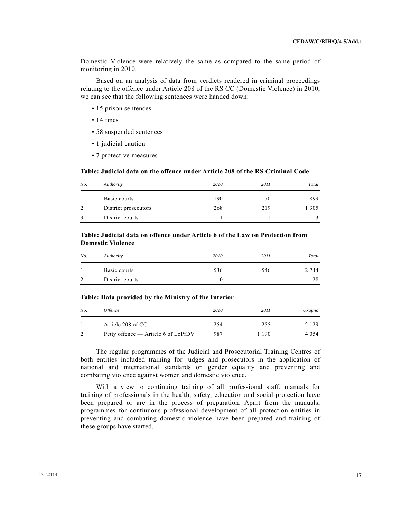Domestic Violence were relatively the same as compared to the same period of monitoring in 2010.

 Based on an analysis of data from verdicts rendered in criminal proceedings relating to the offence under Article 208 of the RS CC (Domestic Violence) in 2010, we can see that the following sentences were handed down:

- 15 prison sentences
- 14 fines
- 58 suspended sentences
- 1 judicial caution
- 7 protective measures

 **Table: Judicial data on the offence under Article 208 of the RS Criminal Code** 

| No. | Authority            | 2010 | 2011 | Total |
|-----|----------------------|------|------|-------|
|     | Basic courts         | 190  | 170  | 899   |
| 2.  | District prosecutors | 268  | 219  | 305   |
| 3.  | District courts      |      |      |       |

#### **Table: Judicial data on offence under Article 6 of the Law on Protection from Domestic Violence**

| No. | Authority       | 2010 | 2011 | Total |
|-----|-----------------|------|------|-------|
|     | Basic courts    | 536  | 546  | 2 744 |
| ٠.  | District courts |      |      | 28    |

#### **Table: Data provided by the Ministry of the Interior**

| No. | <i>Offence</i>                      | 2010 | 2011  | Ukupno  |
|-----|-------------------------------------|------|-------|---------|
|     | Article 208 of CC                   | 254  | 255   | 2 1 2 9 |
| ـ ت | Petty offence — Article 6 of LoPfDV | 987  | 1 190 | 4 0 5 4 |

 The regular programmes of the Judicial and Prosecutorial Training Centres of both entities included training for judges and prosecutors in the application of national and international standards on gender equality and preventing and combating violence against women and domestic violence.

 With a view to continuing training of all professional staff, manuals for training of professionals in the health, safety, education and social protection have been prepared or are in the process of preparation. Apart from the manuals, programmes for continuous professional development of all protection entities in preventing and combating domestic violence have been prepared and training of these groups have started.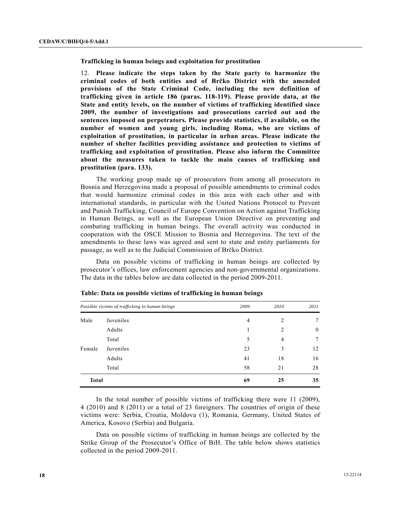**Trafficking in human beings and exploitation for prostitution** 

12. **Please indicate the steps taken by the State party to harmonize the criminal codes of both entities and of Brčko District with the amended provisions of the State Criminal Code, including the new definition of trafficking given in article 186 (paras. 118-119). Please provide data, at the State and entity levels, on the number of victims of trafficking identified since 2009, the number of investigations and prosecutions carried out and the sentences imposed on perpetrators. Please provide statistics, if available, on the number of women and young girls, including Roma, who are victims of exploitation of prostitution, in particular in urban areas. Please indicate the number of shelter facilities providing assistance and protection to victims of trafficking and exploitation of prostitution. Please also inform the Committee about the measures taken to tackle the main causes of trafficking and prostitution (para. 133).**

 The working group made up of prosecutors from among all prosecutors in Bosnia and Herzegovina made a proposal of possible amendments to criminal codes that would harmonize criminal codes in this area with each other and with international standards, in particular with the United Nations Protocol to Prevent and Punish Trafficking, Council of Europe Convention on Action against Trafficking in Human Beings, as well as the European Union Directive on preventing and combating trafficking in human beings. The overall activity was conducted in cooperation with the OSCE Mission to Bosnia and Herzegovina. The text of the amendments to these laws was agreed and sent to state and entity parliaments for passage, as well as to the Judicial Commission of Brčko District.

 Data on possible victims of trafficking in human beings are collected by prosecutor's offices, law enforcement agencies and non-governmental organizations. The data in the tables below are data collected in the period 2009-2011.

|              | Possible victims of trafficking in human beings | 2009 | 2010           | 2011         |
|--------------|-------------------------------------------------|------|----------------|--------------|
| Male         | Juveniles                                       | 4    | 2              | 7            |
|              | Adults                                          | 1    | 2              | $\mathbf{0}$ |
|              | Total                                           | 5    | $\overline{4}$ | 7            |
| Female       | Juveniles                                       | 23   | 3              | 12           |
|              | Adults                                          | 41   | 18             | 16           |
|              | Total                                           | 58   | 21             | 28           |
| <b>Total</b> |                                                 | 69   | 25             | 35           |

|  | Table: Data on possible victims of trafficking in human beings |
|--|----------------------------------------------------------------|
|--|----------------------------------------------------------------|

 In the total number of possible victims of trafficking there were 11 (2009), 4 (2010) and 8 (2011) or a total of 23 foreigners. The countries of origin of these victims were: Serbia, Croatia, Moldova (1), Romania, Germany, United States of America, Kosovo (Serbia) and Bulgaria.

 Data on possible victims of trafficking in human beings are collected by the Strike Group of the Prosecutor's Office of BiH. The table below shows statistics collected in the period 2009-2011.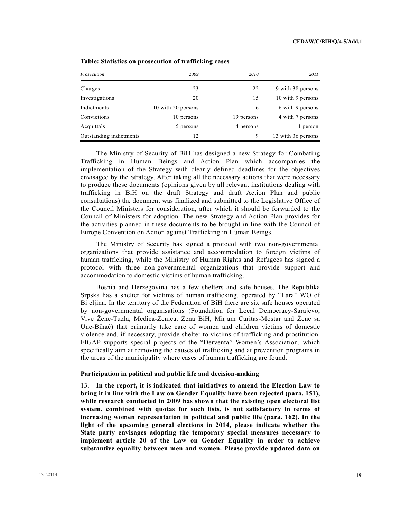|                         |                    | $\overline{\phantom{a}}$ |                    |
|-------------------------|--------------------|--------------------------|--------------------|
| Prosecution             | 2009               | 2010                     | 2011               |
| Charges                 | 23                 | 22                       | 19 with 38 persons |
| Investigations          | 20                 | 15                       | 10 with 9 persons  |
| Indictments             | 10 with 20 persons | 16                       | 6 with 9 persons   |
| Convictions             | 10 persons         | 19 persons               | 4 with 7 persons   |
| Acquittals              | 5 persons          | 4 persons                | 1 person           |
| Outstanding indictments | 12                 | 9                        | 13 with 36 persons |

 **Table: Statistics on prosecution of trafficking cases** 

 The Ministry of Security of BiH has designed a new Strategy for Combating Trafficking in Human Beings and Action Plan which accompanies the implementation of the Strategy with clearly defined deadlines for the objectives envisaged by the Strategy. After taking all the necessary actions that were necessary to produce these documents (opinions given by all relevant institutions dealing with trafficking in BiH on the draft Strategy and draft Action Plan and public consultations) the document was finalized and submitted to the Legislative Office of the Council Ministers for consideration, after which it should be forwarded to the Council of Ministers for adoption. The new Strategy and Action Plan provides for the activities planned in these documents to be brought in line with the Council of Europe Convention on Action against Trafficking in Human Beings.

 The Ministry of Security has signed a protocol with two non-governmental organizations that provide assistance and accommodation to foreign victims of human trafficking, while the Ministry of Human Rights and Refugees has signed a protocol with three non-governmental organizations that provide support and accommodation to domestic victims of human trafficking.

 Bosnia and Herzegovina has a few shelters and safe houses. The Republika Srpska has a shelter for victims of human trafficking, operated by "Lara" WO of Bijeljina. In the territory of the Federation of BiH there are six safe houses operated by non-governmental organisations (Foundation for Local Democracy-Sarajevo, Vive Žene-Tuzla, Medica-Zenica, Žena BiH, Mirjam Caritas-Mostar and Žene sa Une-Bihać) that primarily take care of women and children victims of domestic violence and, if necessary, provide shelter to victims of trafficking and prostitution. FIGAP supports special projects of the "Derventa" Women's Association, which specifically aim at removing the causes of trafficking and at prevention programs in the areas of the municipality where cases of human trafficking are found.

#### **Participation in political and public life and decision-making**

13. **In the report, it is indicated that initiatives to amend the Election Law to bring it in line with the Law on Gender Equality have been rejected (para. 151), while research conducted in 2009 has shown that the existing open electoral list system, combined with quotas for such lists, is not satisfactory in terms of increasing women representation in political and public life (para. 162). In the light of the upcoming general elections in 2014, please indicate whether the State party envisages adopting the temporary special measures necessary to implement article 20 of the Law on Gender Equality in order to achieve substantive equality between men and women. Please provide updated data on**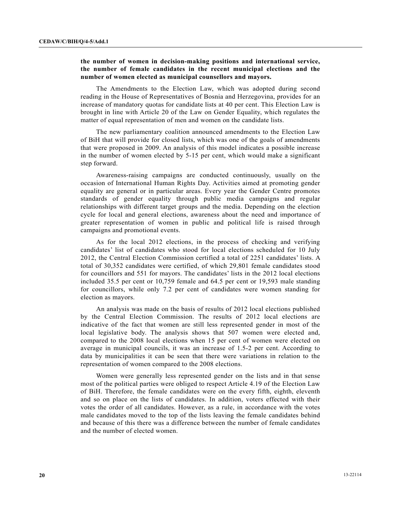## **the number of women in decision-making positions and international service, the number of female candidates in the recent municipal elections and the number of women elected as municipal counsellors and mayors.**

 The Amendments to the Election Law, which was adopted during second reading in the House of Representatives of Bosnia and Herzegovina, provides for an increase of mandatory quotas for candidate lists at 40 per cent. This Election Law is brought in line with Article 20 of the Law on Gender Equality, which regulates the matter of equal representation of men and women on the candidate lists.

 The new parliamentary coalition announced amendments to the Election Law of BiH that will provide for closed lists, which was one of the goals of amendments that were proposed in 2009. An analysis of this model indicates a possible increase in the number of women elected by 5-15 per cent, which would make a significant step forward.

 Awareness-raising campaigns are conducted continuously, usually on the occasion of International Human Rights Day. Activities aimed at promoting gender equality are general or in particular areas. Every year the Gender Centre promotes standards of gender equality through public media campaigns and regular relationships with different target groups and the media. Depending on the election cycle for local and general elections, awareness about the need and importance of greater representation of women in public and political life is raised through campaigns and promotional events.

 As for the local 2012 elections, in the process of checking and verifying candidates' list of candidates who stood for local elections scheduled for 10 July 2012, the Central Election Commission certified a total of 2251 candidates' lists. A total of 30,352 candidates were certified, of which 29,801 female candidates stood for councillors and 551 for mayors. The candidates' lists in the 2012 local elections included 35.5 per cent or 10,759 female and 64.5 per cent or 19,593 male standing for councillors, while only 7.2 per cent of candidates were women standing for election as mayors.

 An analysis was made on the basis of results of 2012 local elections published by the Central Election Commission. The results of 2012 local elections are indicative of the fact that women are still less represented gender in most of the local legislative body. The analysis shows that 507 women were elected and, compared to the 2008 local elections when 15 per cent of women were elected on average in municipal councils, it was an increase of 1.5-2 per cent. According to data by municipalities it can be seen that there were variations in relation to the representation of women compared to the 2008 elections.

 Women were generally less represented gender on the lists and in that sense most of the political parties were obliged to respect Article 4.19 of the Election Law of BiH. Therefore, the female candidates were on the every fifth, eighth, eleventh and so on place on the lists of candidates. In addition, voters effected with their votes the order of all candidates. However, as a rule, in accordance with the votes male candidates moved to the top of the lists leaving the female candidates behind and because of this there was a difference between the number of female candidates and the number of elected women.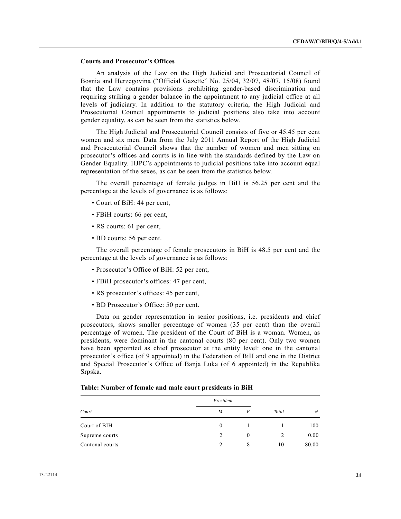## **Courts and Prosecutor's Offices**

 An analysis of the Law on the High Judicial and Prosecutorial Council of Bosnia and Herzegovina ("Official Gazette" No. 25/04, 32/07, 48/07, 15/08) found that the Law contains provisions prohibiting gender-based discrimination and requiring striking a gender balance in the appointment to any judicial office at all levels of judiciary. In addition to the statutory criteria, the High Judicial and Prosecutorial Council appointments to judicial positions also take into account gender equality, as can be seen from the statistics below.

 The High Judicial and Prosecutorial Council consists of five or 45.45 per cent women and six men. Data from the July 2011 Annual Report of the High Judicial and Prosecutorial Council shows that the number of women and men sitting on prosecutor's offices and courts is in line with the standards defined by the Law on Gender Equality. HJPC's appointments to judicial positions take into account equal representation of the sexes, as can be seen from the statistics below.

 The overall percentage of female judges in BiH is 56.25 per cent and the percentage at the levels of governance is as follows:

- Court of BiH: 44 per cent,
- FBiH courts: 66 per cent,
- RS courts: 61 per cent,
- BD courts: 56 per cent.

 The overall percentage of female prosecutors in BiH is 48.5 per cent and the percentage at the levels of governance is as follows:

- Prosecutor's Office of BiH: 52 per cent,
- FBiH prosecutor's offices: 47 per cent,
- RS prosecutor's offices: 45 per cent,
- BD Prosecutor's Office: 50 per cent.

 Data on gender representation in senior positions, i.e. presidents and chief prosecutors, shows smaller percentage of women (35 per cent) than the overall percentage of women. The president of the Court of BiH is a woman. Women, as presidents, were dominant in the cantonal courts (80 per cent). Only two women have been appointed as chief prosecutor at the entity level: one in the cantonal prosecutor's office (of 9 appointed) in the Federation of BiH and one in the District and Special Prosecutor's Office of Banja Luka (of 6 appointed) in the Republika Srpska.

#### **Table: Number of female and male court presidents in BiH**

|                 | President |          |       |       |
|-----------------|-----------|----------|-------|-------|
| Court           | M         | F        | Total | $\%$  |
| Court of BIH    | $\theta$  |          |       | 100   |
| Supreme courts  | 2         | $\theta$ | 2     | 0.00  |
| Cantonal courts | 2         | 8        | 10    | 80.00 |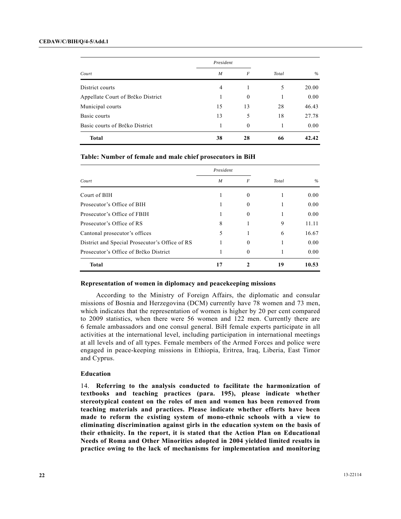|                                   | President        |                  |       |       |
|-----------------------------------|------------------|------------------|-------|-------|
| Court                             | $\boldsymbol{M}$ | $\boldsymbol{F}$ | Total | $\%$  |
| District courts                   | 4                |                  | 5     | 20.00 |
| Appellate Court of Brčko District |                  | $\theta$         |       | 0.00  |
| Municipal courts                  | 15               | 13               | 28    | 46.43 |
| Basic courts                      | 13               | 5                | 18    | 27.78 |
| Basic courts of Brčko District    |                  | $\theta$         |       | 0.00  |
| <b>Total</b>                      | 38               | 28               | 66    | 42.42 |

#### **Table: Number of female and male chief prosecutors in BiH**

| Court                                          | President        |                |       |       |
|------------------------------------------------|------------------|----------------|-------|-------|
|                                                | $\boldsymbol{M}$ | F              | Total | $\%$  |
| Court of BIH                                   |                  | $\theta$       |       | 0.00  |
| Prosecutor's Office of BIH                     |                  | $\theta$       |       | 0.00  |
| Prosecutor's Office of FBIH                    |                  | $\mathbf{0}$   |       | 0.00  |
| Prosecutor's Office of RS                      | 8                |                | 9     | 11.11 |
| Cantonal prosecutor's offices                  | 5                |                | 6     | 16.67 |
| District and Special Prosecutor's Office of RS |                  | $\overline{0}$ |       | 0.00  |
| Prosecutor's Office of Brčko District          |                  | $\Omega$       |       | 0.00  |
| <b>Total</b>                                   | 17               |                | 19    | 10.53 |

#### **Representation of women in diplomacy and peacekeeping missions**

 According to the Ministry of Foreign Affairs, the diplomatic and consular missions of Bosnia and Herzegovina (DCM) currently have 78 women and 73 men, which indicates that the representation of women is higher by 20 per cent compared to 2009 statistics, when there were 56 women and 122 men. Currently there are 6 female ambassadors and one consul general. BiH female experts participate in all activities at the international level, including participation in international meetings at all levels and of all types. Female members of the Armed Forces and police were engaged in peace-keeping missions in Ethiopia, Eritrea, Iraq, Liberia, East Timor and Cyprus.

#### **Education**

14. **Referring to the analysis conducted to facilitate the harmonization of textbooks and teaching practices (para. 195), please indicate whether stereotypical content on the roles of men and women has been removed from teaching materials and practices. Please indicate whether efforts have been made to reform the existing system of mono-ethnic schools with a view to eliminating discrimination against girls in the education system on the basis of their ethnicity. In the report, it is stated that the Action Plan on Educational Needs of Roma and Other Minorities adopted in 2004 yielded limited results in practice owing to the lack of mechanisms for implementation and monitoring**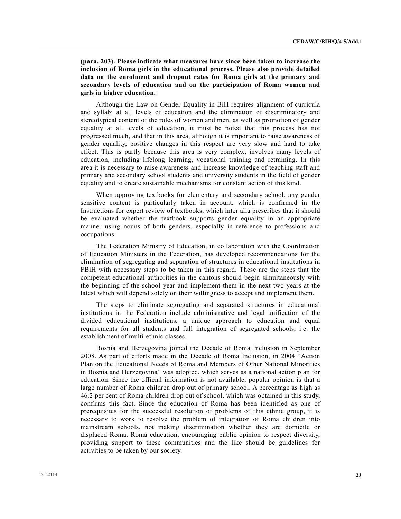**(para. 203). Please indicate what measures have since been taken to increase the inclusion of Roma girls in the educational process. Please also provide detailed data on the enrolment and dropout rates for Roma girls at the primary and secondary levels of education and on the participation of Roma women and girls in higher education.**

 Although the Law on Gender Equality in BiH requires alignment of curricula and syllabi at all levels of education and the elimination of discriminatory and stereotypical content of the roles of women and men, as well as promotion of gender equality at all levels of education, it must be noted that this process has not progressed much, and that in this area, although it is important to raise awareness of gender equality, positive changes in this respect are very slow and hard to take effect. This is partly because this area is very complex, involves many levels of education, including lifelong learning, vocational training and retraining. In this area it is necessary to raise awareness and increase knowledge of teaching staff and primary and secondary school students and university students in the field of gender equality and to create sustainable mechanisms for constant action of this kind.

 When approving textbooks for elementary and secondary school, any gender sensitive content is particularly taken in account, which is confirmed in the Instructions for expert review of textbooks, which inter alia prescribes that it should be evaluated whether the textbook supports gender equality in an appropriate manner using nouns of both genders, especially in reference to professions and occupations.

 The Federation Ministry of Education, in collaboration with the Coordination of Education Ministers in the Federation, has developed recommendations for the elimination of segregating and separation of structures in educational institutions in FBiH with necessary steps to be taken in this regard. These are the steps that the competent educational authorities in the cantons should begin simultaneously with the beginning of the school year and implement them in the next two years at the latest which will depend solely on their willingness to accept and implement them.

 The steps to eliminate segregating and separated structures in educational institutions in the Federation include administrative and legal unification of the divided educational institutions, a unique approach to education and equal requirements for all students and full integration of segregated schools, i.e. the establishment of multi-ethnic classes.

 Bosnia and Herzegovina joined the Decade of Roma Inclusion in September 2008. As part of efforts made in the Decade of Roma Inclusion, in 2004 "Action Plan on the Educational Needs of Roma and Members of Other National Minorities in Bosnia and Herzegovina" was adopted, which serves as a national action plan for education. Since the official information is not available, popular opinion is that a large number of Roma children drop out of primary school. A percentage as high as 46.2 per cent of Roma children drop out of school, which was obtained in this study, confirms this fact. Since the education of Roma has been identified as one of prerequisites for the successful resolution of problems of this ethnic group, it is necessary to work to resolve the problem of integration of Roma children into mainstream schools, not making discrimination whether they are domicile or displaced Roma. Roma education, encouraging public opinion to respect diversity, providing support to these communities and the like should be guidelines for activities to be taken by our society.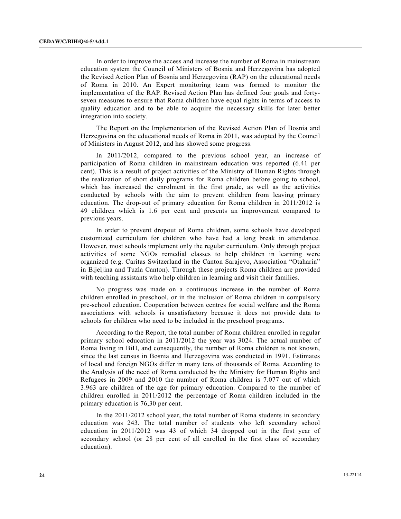In order to improve the access and increase the number of Roma in mainstream education system the Council of Ministers of Bosnia and Herzegovina has adopted the Revised Action Plan of Bosnia and Herzegovina (RAP) on the educational needs of Roma in 2010. An Expert monitoring team was formed to monitor the implementation of the RAP. Revised Action Plan has defined four goals and fortyseven measures to ensure that Roma children have equal rights in terms of access to quality education and to be able to acquire the necessary skills for later better integration into society.

 The Report on the Implementation of the Revised Action Plan of Bosnia and Herzegovina on the educational needs of Roma in 2011, was adopted by the Council of Ministers in August 2012, and has showed some progress.

 In 2011/2012, compared to the previous school year, an increase of participation of Roma children in mainstream education was reported (6.41 per cent). This is a result of project activities of the Ministry of Human Rights through the realization of short daily programs for Roma children before going to school, which has increased the enrolment in the first grade, as well as the activities conducted by schools with the aim to prevent children from leaving primary education. The drop-out of primary education for Roma children in 2011/2012 is 49 children which is 1.6 per cent and presents an improvement compared to previous years.

 In order to prevent dropout of Roma children, some schools have developed customized curriculum for children who have had a long break in attendance. However, most schools implement only the regular curriculum. Only through project activities of some NGOs remedial classes to help children in learning were organized (e.g. Caritas Switzerland in the Canton Sarajevo, Association "Otaharin" in Bijeljina and Tuzla Canton). Through these projects Roma children are provided with teaching assistants who help children in learning and visit their families.

 No progress was made on a continuous increase in the number of Roma children enrolled in preschool, or in the inclusion of Roma children in compulsory pre-school education. Cooperation between centres for social welfare and the Roma associations with schools is unsatisfactory because it does not provide data to schools for children who need to be included in the preschool programs.

 According to the Report, the total number of Roma children enrolled in regular primary school education in 2011/2012 the year was 3024. The actual number of Roma living in BiH, and consequently, the number of Roma children is not known, since the last census in Bosnia and Herzegovina was conducted in 1991. Estimates of local and foreign NGOs differ in many tens of thousands of Roma. According to the Analysis of the need of Roma conducted by the Ministry for Human Rights and Refugees in 2009 and 2010 the number of Roma children is 7.077 out of which 3.963 are children of the age for primary education. Compared to the number of children enrolled in 2011/2012 the percentage of Roma children included in the primary education is 76,30 per cent.

 In the 2011/2012 school year, the total number of Roma students in secondary education was 243. The total number of students who left secondary school education in 2011/2012 was 43 of which 34 dropped out in the first year of secondary school (or 28 per cent of all enrolled in the first class of secondary education).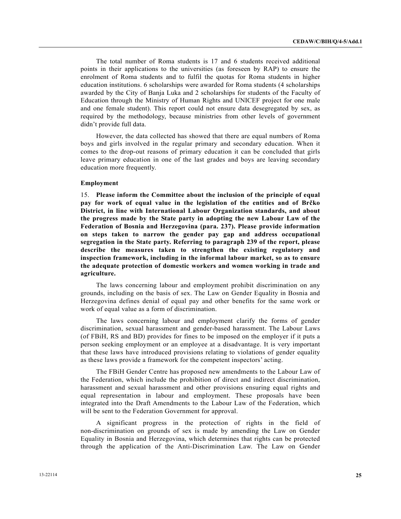The total number of Roma students is 17 and 6 students received additional points in their applications to the universities (as foreseen by RAP) to ensure the enrolment of Roma students and to fulfil the quotas for Roma students in higher education institutions. 6 scholarships were awarded for Roma students (4 scholarships awarded by the City of Banja Luka and 2 scholarships for students of the Faculty of Education through the Ministry of Human Rights and UNICEF project for one male and one female student). This report could not ensure data desegregated by sex, as required by the methodology, because ministries from other levels of government didn't provide full data.

 However, the data collected has showed that there are equal numbers of Roma boys and girls involved in the regular primary and secondary education. When it comes to the drop-out reasons of primary education it can be concluded that girls leave primary education in one of the last grades and boys are leaving secondary education more frequently.

#### **Employment**

15. **Please inform the Committee about the inclusion of the principle of equal pay for work of equal value in the legislation of the entities and of Brčko District, in line with International Labour Organization standards, and about the progress made by the State party in adopting the new Labour Law of the Federation of Bosnia and Herzegovina (para. 237). Please provide information on steps taken to narrow the gender pay gap and address occupational segregation in the State party. Referring to paragraph 239 of the report, please describe the measures taken to strengthen the existing regulatory and inspection framework, including in the informal labour market, so as to ensure the adequate protection of domestic workers and women working in trade and agriculture.** 

 The laws concerning labour and employment prohibit discrimination on any grounds, including on the basis of sex. The Law on Gender Equality in Bosnia and Herzegovina defines denial of equal pay and other benefits for the same work or work of equal value as a form of discrimination.

 The laws concerning labour and employment clarify the forms of gender discrimination, sexual harassment and gender-based harassment. The Labour Laws (of FBiH, RS and BD) provides for fines to be imposed on the employer if it puts a person seeking employment or an employee at a disadvantage. It is very important that these laws have introduced provisions relating to violations of gender equality as these laws provide a framework for the competent inspectors' acting.

 The FBiH Gender Centre has proposed new amendments to the Labour Law of the Federation, which include the prohibition of direct and indirect discrimination, harassment and sexual harassment and other provisions ensuring equal rights and equal representation in labour and employment. These proposals have been integrated into the Draft Amendments to the Labour Law of the Federation, which will be sent to the Federation Government for approval.

 A significant progress in the protection of rights in the field of non-discrimination on grounds of sex is made by amending the Law on Gender Equality in Bosnia and Herzegovina, which determines that rights can be protected through the application of the Anti-Discrimination Law. The Law on Gender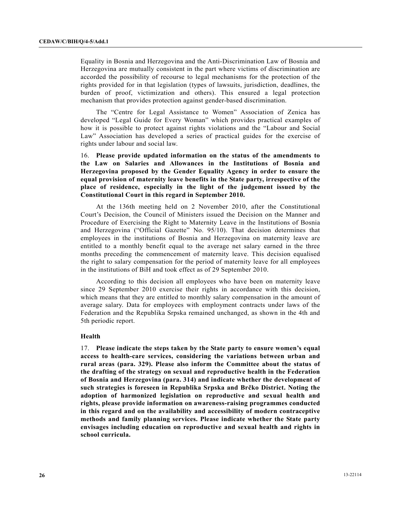Equality in Bosnia and Herzegovina and the Anti-Discrimination Law of Bosnia and Herzegovina are mutually consistent in the part where victims of discrimination are accorded the possibility of recourse to legal mechanisms for the protection of the rights provided for in that legislation (types of lawsuits, jurisdiction, deadlines, the burden of proof, victimization and others). This ensured a legal protection mechanism that provides protection against gender-based discrimination.

 The "Centre for Legal Assistance to Women" Association of Zenica has developed "Legal Guide for Every Woman" which provides practical examples of how it is possible to protect against rights violations and the "Labour and Social Law" Association has developed a series of practical guides for the exercise of rights under labour and social law.

16. **Please provide updated information on the status of the amendments to the Law on Salaries and Allowances in the Institutions of Bosnia and Herzegovina proposed by the Gender Equality Agency in order to ensure the equal provision of maternity leave benefits in the State party, irrespective of the place of residence, especially in the light of the judgement issued by the Constitutional Court in this regard in September 2010.**

 At the 136th meeting held on 2 November 2010, after the Constitutional Court's Decision, the Council of Ministers issued the Decision on the Manner and Procedure of Exercising the Right to Maternity Leave in the Institutions of Bosnia and Herzegovina ("Official Gazette" No. 95/10). That decision determines that employees in the institutions of Bosnia and Herzegovina on maternity leave are entitled to a monthly benefit equal to the average net salary earned in the three months preceding the commencement of maternity leave. This decision equalised the right to salary compensation for the period of maternity leave for all employees in the institutions of BiH and took effect as of 29 September 2010.

 According to this decision all employees who have been on maternity leave since 29 September 2010 exercise their rights in accordance with this decision, which means that they are entitled to monthly salary compensation in the amount of average salary. Data for employees with employment contracts under laws of the Federation and the Republika Srpska remained unchanged, as shown in the 4th and 5th periodic report.

#### **Health**

17. **Please indicate the steps taken by the State party to ensure women's equal access to health-care services, considering the variations between urban and rural areas (para. 329). Please also inform the Committee about the status of the drafting of the strategy on sexual and reproductive health in the Federation of Bosnia and Herzegovina (para. 314) and indicate whether the development of such strategies is foreseen in Republika Srpska and Brčko District. Noting the adoption of harmonized legislation on reproductive and sexual health and rights, please provide information on awareness-raising programmes conducted in this regard and on the availability and accessibility of modern contraceptive methods and family planning services. Please indicate whether the State party envisages including education on reproductive and sexual health and rights in school curricula.**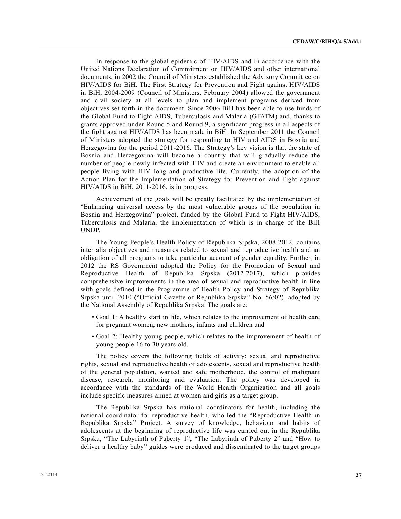In response to the global epidemic of HIV/AIDS and in accordance with the United Nations Declaration of Commitment on HIV/AIDS and other international documents, in 2002 the Council of Ministers established the Advisory Committee on HIV/AIDS for BiH. The First Strategy for Prevention and Fight against HIV/AIDS in BiH, 2004-2009 (Council of Ministers, February 2004) allowed the government and civil society at all levels to plan and implement programs derived from objectives set forth in the document. Since 2006 BiH has been able to use funds of the Global Fund to Fight AIDS, Tuberculosis and Malaria (GFATM) and, thanks to grants approved under Round 5 and Round 9, a significant progress in all aspects of the fight against HIV/AIDS has been made in BiH. In September 2011 the Council of Ministers adopted the strategy for responding to HIV and AIDS in Bosnia and Herzegovina for the period 2011-2016. The Strategy's key vision is that the state of Bosnia and Herzegovina will become a country that will gradually reduce the number of people newly infected with HIV and create an environment to enable all people living with HIV long and productive life. Currently, the adoption of the Action Plan for the Implementation of Strategy for Prevention and Fight against HIV/AIDS in BiH, 2011-2016, is in progress.

 Achievement of the goals will be greatly facilitated by the implementation of "Enhancing universal access by the most vulnerable groups of the population in Bosnia and Herzegovina" project, funded by the Global Fund to Fight HIV/AIDS, Tuberculosis and Malaria, the implementation of which is in charge of the BiH UNDP.

 The Young People's Health Policy of Republika Srpska, 2008-2012, contains inter alia objectives and measures related to sexual and reproductive health and an obligation of all programs to take particular account of gender equality. Further, in 2012 the RS Government adopted the Policy for the Promotion of Sexual and Reproductive Health of Republika Srpska (2012-2017), which provides comprehensive improvements in the area of sexual and reproductive health in line with goals defined in the Programme of Health Policy and Strategy of Republika Srpska until 2010 ("Official Gazette of Republika Srpska" No. 56/02), adopted by the National Assembly of Republika Srpska. The goals are:

- Goal 1: A healthy start in life, which relates to the improvement of health care for pregnant women, new mothers, infants and children and
- Goal 2: Healthy young people, which relates to the improvement of health of young people 16 to 30 years old.

 The policy covers the following fields of activity: sexual and reproductive rights, sexual and reproductive health of adolescents, sexual and reproductive health of the general population, wanted and safe motherhood, the control of malignant disease, research, monitoring and evaluation. The policy was developed in accordance with the standards of the World Health Organization and all goals include specific measures aimed at women and girls as a target group.

 The Republika Srpska has national coordinators for health, including the national coordinator for reproductive health, who led the "Reproductive Health in Republika Srpska" Project. A survey of knowledge, behaviour and habits of adolescents at the beginning of reproductive life was carried out in the Republika Srpska, "The Labyrinth of Puberty 1", "The Labyrinth of Puberty 2" and "How to deliver a healthy baby" guides were produced and disseminated to the target groups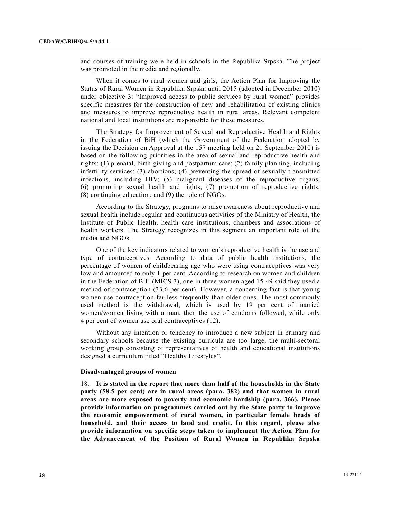and courses of training were held in schools in the Republika Srpska. The project was promoted in the media and regionally.

 When it comes to rural women and girls, the Action Plan for Improving the Status of Rural Women in Republika Srpska until 2015 (adopted in December 2010) under objective 3: "Improved access to public services by rural women" provides specific measures for the construction of new and rehabilitation of existing clinics and measures to improve reproductive health in rural areas. Relevant competent national and local institutions are responsible for these measures.

 The Strategy for Improvement of Sexual and Reproductive Health and Rights in the Federation of BiH (which the Government of the Federation adopted by issuing the Decision on Approval at the 157 meeting held on 21 September 2010) is based on the following priorities in the area of sexual and reproductive health and rights: (1) prenatal, birth-giving and postpartum care; (2) family planning, including infertility services; (3) abortions; (4) preventing the spread of sexually transmitted infections, including HIV; (5) malignant diseases of the reproductive organs; (6) promoting sexual health and rights; (7) promotion of reproductive rights; (8) continuing education; and (9) the role of NGOs.

 According to the Strategy, programs to raise awareness about reproductive and sexual health include regular and continuous activities of the Ministry of Health, the Institute of Public Health, health care institutions, chambers and associations of health workers. The Strategy recognizes in this segment an important role of the media and NGOs.

 One of the key indicators related to women's reproductive health is the use and type of contraceptives. According to data of public health institutions, the percentage of women of childbearing age who were using contraceptives was very low and amounted to only 1 per cent. According to research on women and children in the Federation of BiH (MICS 3), one in three women aged 15-49 said they used a method of contraception (33.6 per cent). However, a concerning fact is that young women use contraception far less frequently than older ones. The most commonly used method is the withdrawal, which is used by 19 per cent of married women/women living with a man, then the use of condoms followed, while only 4 per cent of women use oral contraceptives (12).

 Without any intention or tendency to introduce a new subject in primary and secondary schools because the existing curricula are too large, the multi-sectoral working group consisting of representatives of health and educational institutions designed a curriculum titled "Healthy Lifestyles".

#### **Disadvantaged groups of women**

18. **It is stated in the report that more than half of the households in the State party (58.5 per cent) are in rural areas (para. 382) and that women in rural areas are more exposed to poverty and economic hardship (para. 366). Please provide information on programmes carried out by the State party to improve the economic empowerment of rural women, in particular female heads of household, and their access to land and credit. In this regard, please also provide information on specific steps taken to implement the Action Plan for the Advancement of the Position of Rural Women in Republika Srpska**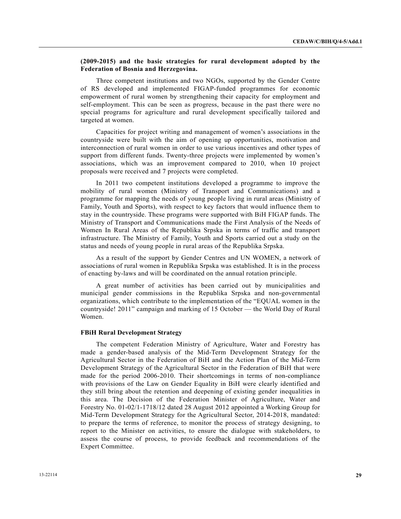### **(2009-2015) and the basic strategies for rural development adopted by the Federation of Bosnia and Herzegovina.**

 Three competent institutions and two NGOs, supported by the Gender Centre of RS developed and implemented FIGAP-funded programmes for economic empowerment of rural women by strengthening their capacity for employment and self-employment. This can be seen as progress, because in the past there were no special programs for agriculture and rural development specifically tailored and targeted at women.

 Capacities for project writing and management of women's associations in the countryside were built with the aim of opening up opportunities, motivation and interconnection of rural women in order to use various incentives and other types of support from different funds. Twenty-three projects were implemented by women's associations, which was an improvement compared to 2010, when 10 project proposals were received and 7 projects were completed.

 In 2011 two competent institutions developed a programme to improve the mobility of rural women (Ministry of Transport and Communications) and a programme for mapping the needs of young people living in rural areas (Ministry of Family, Youth and Sports), with respect to key factors that would influence them to stay in the countryside. These programs were supported with BiH FIGAP funds. The Ministry of Transport and Communications made the First Analysis of the Needs of Women In Rural Areas of the Republika Srpska in terms of traffic and transport infrastructure. The Ministry of Family, Youth and Sports carried out a study on the status and needs of young people in rural areas of the Republika Srpska.

 As a result of the support by Gender Centres and UN WOMEN, a network of associations of rural women in Republika Srpska was established. It is in the process of enacting by-laws and will be coordinated on the annual rotation principle.

 A great number of activities has been carried out by municipalities and municipal gender commissions in the Republika Srpska and non-governmental organizations, which contribute to the implementation of the "EQUAL women in the countryside! 2011" campaign and marking of 15 October — the World Day of Rural Women.

#### **FBiH Rural Development Strategy**

 The competent Federation Ministry of Agriculture, Water and Forestry has made a gender-based analysis of the Mid-Term Development Strategy for the Agricultural Sector in the Federation of BiH and the Action Plan of the Mid-Term Development Strategy of the Agricultural Sector in the Federation of BiH that were made for the period 2006-2010. Their shortcomings in terms of non-compliance with provisions of the Law on Gender Equality in BiH were clearly identified and they still bring about the retention and deepening of existing gender inequalities in this area. The Decision of the Federation Minister of Agriculture, Water and Forestry No. 01-02/1-1718/12 dated 28 August 2012 appointed a Working Group for Mid-Term Development Strategy for the Agricultural Sector, 2014-2018, mandated: to prepare the terms of reference, to monitor the process of strategy designing, to report to the Minister on activities, to ensure the dialogue with stakeholders, to assess the course of process, to provide feedback and recommendations of the Expert Committee.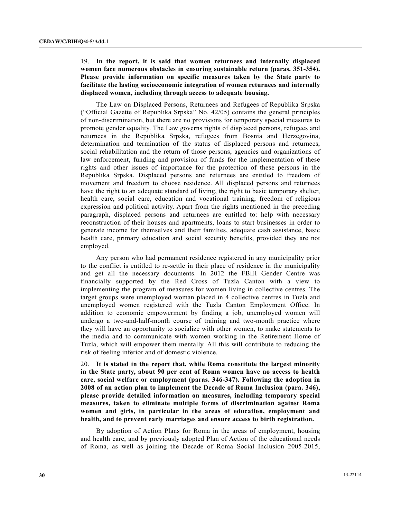## 19. **In the report, it is said that women returnees and internally displaced women face numerous obstacles in ensuring sustainable return (paras. 351-354). Please provide information on specific measures taken by the State party to facilitate the lasting socioeconomic integration of women returnees and internally displaced women, including through access to adequate housing.**

 The Law on Displaced Persons, Returnees and Refugees of Republika Srpska ("Official Gazette of Republika Srpska" No. 42/05) contains the general principles of non-discrimination, but there are no provisions for temporary special measures to promote gender equality. The Law governs rights of displaced persons, refugees and returnees in the Republika Srpska, refugees from Bosnia and Herzegovina, determination and termination of the status of displaced persons and returnees, social rehabilitation and the return of those persons, agencies and organizations of law enforcement, funding and provision of funds for the implementation of these rights and other issues of importance for the protection of these persons in the Republika Srpska. Displaced persons and returnees are entitled to freedom of movement and freedom to choose residence. All displaced persons and returnees have the right to an adequate standard of living, the right to basic temporary shelter, health care, social care, education and vocational training, freedom of religious expression and political activity. Apart from the rights mentioned in the preceding paragraph, displaced persons and returnees are entitled to: help with necessary reconstruction of their houses and apartments, loans to start businesses in order to generate income for themselves and their families, adequate cash assistance, basic health care, primary education and social security benefits, provided they are not employed.

 Any person who had permanent residence registered in any municipality prior to the conflict is entitled to re-settle in their place of residence in the municipality and get all the necessary documents. In 2012 the FBiH Gender Centre was financially supported by the Red Cross of Tuzla Canton with a view to implementing the program of measures for women living in collective centres. The target groups were unemployed woman placed in 4 collective centres in Tuzla and unemployed women registered with the Tuzla Canton Employment Office. In addition to economic empowerment by finding a job, unemployed women will undergo a two-and-half-month course of training and two-month practice where they will have an opportunity to socialize with other women, to make statements to the media and to communicate with women working in the Retirement Home of Tuzla, which will empower them mentally. All this will contribute to reducing the risk of feeling inferior and of domestic violence.

20. **It is stated in the report that, while Roma constitute the largest minority in the State party, about 90 per cent of Roma women have no access to health care, social welfare or employment (paras. 346-347). Following the adoption in 2008 of an action plan to implement the Decade of Roma Inclusion (para. 346), please provide detailed information on measures, including temporary special measures, taken to eliminate multiple forms of discrimination against Roma women and girls, in particular in the areas of education, employment and health, and to prevent early marriages and ensure access to birth registration.**

 By adoption of Action Plans for Roma in the areas of employment, housing and health care, and by previously adopted Plan of Action of the educational needs of Roma, as well as joining the Decade of Roma Social Inclusion 2005-2015,